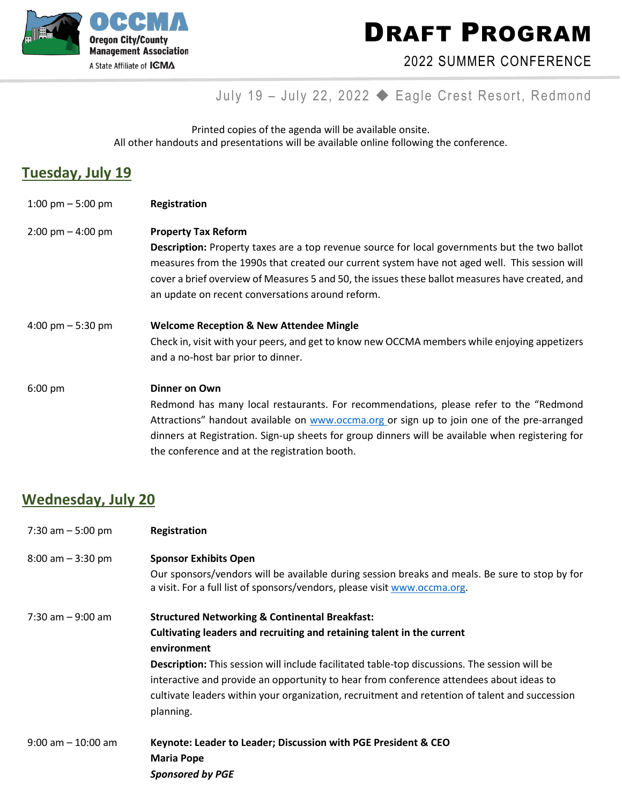

DRAFT PROGRAM

### 2022 SUMMER CONFERENCE

## July 19 – July 22, 2022 ◆ Eagle Crest Resort, Redmond

Printed copies of the agenda will be available onsite. All other handouts and presentations will be available online following the conference.

### **Tuesday, July 19**

1:00 pm – 5:00 pm **Registration** 2:00 pm – 4:00 pm **Property Tax Reform Description:** Property taxes are a top revenue source for local governments but the two ballot measures from the 1990s that created our current system have not aged well. This session will cover a brief overview of Measures 5 and 50, the issues these ballot measures have created, and an update on recent conversations around reform. 4:00 pm – 5:30 pm **Welcome Reception & New Attendee Mingle** Check in, visit with your peers, and get to know new OCCMA members while enjoying appetizers and a no-host bar prior to dinner. 6:00 pm **Dinner on Own** Redmond has many local restaurants. For recommendations, please refer to the "Redmond Attractions" handout available on [www.occma.org](http://www.occma.org/) or sign up to join one of the pre-arranged dinners at Registration. Sign-up sheets for group dinners will be available when registering for

the conference and at the registration booth.

### **Wednesday, July 20**

| 7:30 am $-5:00$ pm    | <b>Registration</b>                                                                                                                                                                                                                                                                                                                                                                                                                                           |
|-----------------------|---------------------------------------------------------------------------------------------------------------------------------------------------------------------------------------------------------------------------------------------------------------------------------------------------------------------------------------------------------------------------------------------------------------------------------------------------------------|
| $8:00$ am $-3:30$ pm  | <b>Sponsor Exhibits Open</b><br>Our sponsors/vendors will be available during session breaks and meals. Be sure to stop by for<br>a visit. For a full list of sponsors/vendors, please visit www.occma.org.                                                                                                                                                                                                                                                   |
| $7:30$ am $-9:00$ am  | <b>Structured Networking &amp; Continental Breakfast:</b><br>Cultivating leaders and recruiting and retaining talent in the current<br>environment<br>Description: This session will include facilitated table-top discussions. The session will be<br>interactive and provide an opportunity to hear from conference attendees about ideas to<br>cultivate leaders within your organization, recruitment and retention of talent and succession<br>planning. |
| $9:00$ am $-10:00$ am | Keynote: Leader to Leader; Discussion with PGE President & CEO<br><b>Maria Pope</b><br><b>Sponsored by PGE</b>                                                                                                                                                                                                                                                                                                                                                |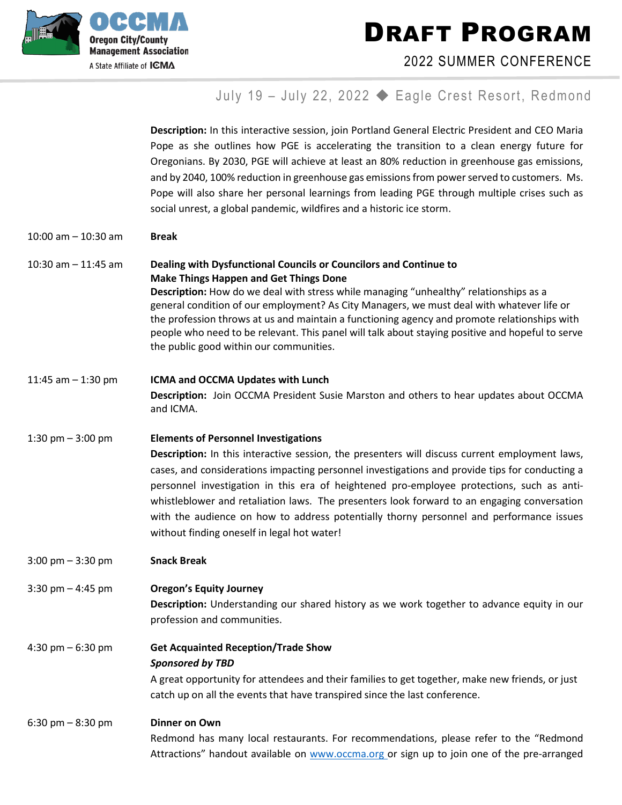DRAFT PROGRAM



2022 SUMMER CONFERENCE

# July 19 – July 22, 2022 ◆ Eagle Crest Resort, Redmond

|                                     | Description: In this interactive session, join Portland General Electric President and CEO Maria<br>Pope as she outlines how PGE is accelerating the transition to a clean energy future for<br>Oregonians. By 2030, PGE will achieve at least an 80% reduction in greenhouse gas emissions,<br>and by 2040, 100% reduction in greenhouse gas emissions from power served to customers. Ms.<br>Pope will also share her personal learnings from leading PGE through multiple crises such as<br>social unrest, a global pandemic, wildfires and a historic ice storm.                  |
|-------------------------------------|---------------------------------------------------------------------------------------------------------------------------------------------------------------------------------------------------------------------------------------------------------------------------------------------------------------------------------------------------------------------------------------------------------------------------------------------------------------------------------------------------------------------------------------------------------------------------------------|
| 10:00 am $-$ 10:30 am               | <b>Break</b>                                                                                                                                                                                                                                                                                                                                                                                                                                                                                                                                                                          |
| 10:30 am $-$ 11:45 am               | Dealing with Dysfunctional Councils or Councilors and Continue to<br><b>Make Things Happen and Get Things Done</b><br>Description: How do we deal with stress while managing "unhealthy" relationships as a<br>general condition of our employment? As City Managers, we must deal with whatever life or<br>the profession throws at us and maintain a functioning agency and promote relationships with<br>people who need to be relevant. This panel will talk about staying positive and hopeful to serve<br>the public good within our communities.                               |
| 11:45 am $-$ 1:30 pm                | ICMA and OCCMA Updates with Lunch<br>Description: Join OCCMA President Susie Marston and others to hear updates about OCCMA<br>and ICMA.                                                                                                                                                                                                                                                                                                                                                                                                                                              |
| 1:30 pm $-$ 3:00 pm                 | <b>Elements of Personnel Investigations</b><br>Description: In this interactive session, the presenters will discuss current employment laws,<br>cases, and considerations impacting personnel investigations and provide tips for conducting a<br>personnel investigation in this era of heightened pro-employee protections, such as anti-<br>whistleblower and retaliation laws. The presenters look forward to an engaging conversation<br>with the audience on how to address potentially thorny personnel and performance issues<br>without finding oneself in legal hot water! |
| $3:00 \text{ pm} - 3:30 \text{ pm}$ | <b>Snack Break</b>                                                                                                                                                                                                                                                                                                                                                                                                                                                                                                                                                                    |
| 3:30 pm $-$ 4:45 pm                 | <b>Oregon's Equity Journey</b><br>Description: Understanding our shared history as we work together to advance equity in our<br>profession and communities.                                                                                                                                                                                                                                                                                                                                                                                                                           |
| 4:30 pm $-6:30$ pm                  | <b>Get Acquainted Reception/Trade Show</b><br><b>Sponsored by TBD</b><br>A great opportunity for attendees and their families to get together, make new friends, or just<br>catch up on all the events that have transpired since the last conference.                                                                                                                                                                                                                                                                                                                                |
| $6:30 \text{ pm} - 8:30 \text{ pm}$ | <b>Dinner on Own</b><br>Redmond has many local restaurants. For recommendations, please refer to the "Redmond<br>Attractions" handout available on www.occma.org or sign up to join one of the pre-arranged                                                                                                                                                                                                                                                                                                                                                                           |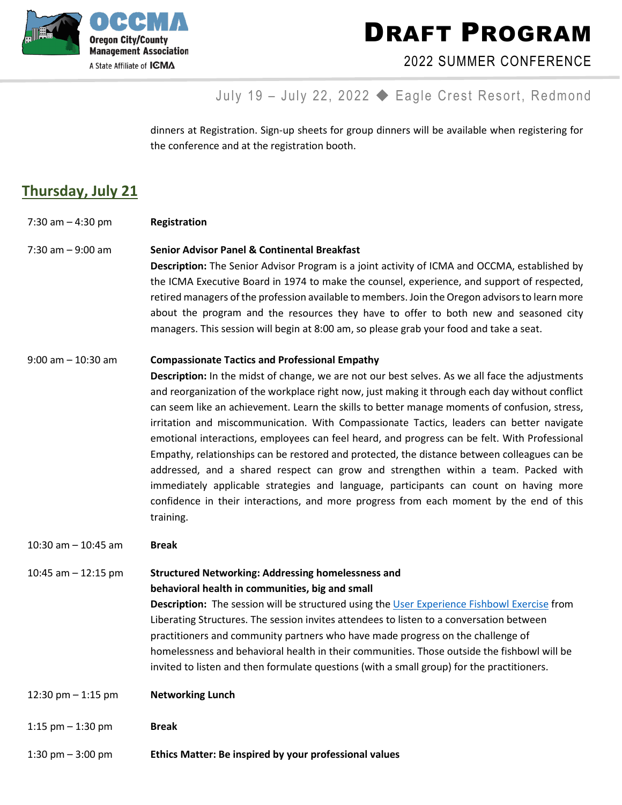

A State Affiliate of **ICMA** 

DRAFT PROGRAM

2022 SUMMER CONFERENCE

## July 19 – July 22, 2022 ◆ Eagle Crest Resort, Redmond

dinners at Registration. Sign-up sheets for group dinners will be available when registering for the conference and at the registration booth.

## **Thursday, July 21**

- 7:30 am 4:30 pm **Registration**
- 7:30 am 9:00 am **Senior Advisor Panel & Continental Breakfast**

**Description:** The Senior Advisor Program is a joint activity of ICMA and OCCMA, established by the ICMA Executive Board in 1974 to make the counsel, experience, and support of respected, retired managers of the profession available to members. Join the Oregon advisorsto learn more about the program and the resources they have to offer to both new and seasoned city managers. This session will begin at 8:00 am, so please grab your food and take a seat.

#### 9:00 am – 10:30 am **Compassionate Tactics and Professional Empathy**

**Description:** In the midst of change, we are not our best selves. As we all face the adjustments and reorganization of the workplace right now, just making it through each day without conflict can seem like an achievement. Learn the skills to better manage moments of confusion, stress, irritation and miscommunication. With Compassionate Tactics, leaders can better navigate emotional interactions, employees can feel heard, and progress can be felt. With Professional Empathy, relationships can be restored and protected, the distance between colleagues can be addressed, and a shared respect can grow and strengthen within a team. Packed with immediately applicable strategies and language, participants can count on having more confidence in their interactions, and more progress from each moment by the end of this training.

#### 10:30 am – 10:45 am **Break**

### 10:45 am – 12:15 pm **Structured Networking: Addressing homelessness and behavioral health in communities, big and small**

**Description:** The session will be structured using the [User Experience Fishbowl Exercise](https://urldefense.com/v3/__https:/nam11.safelinks.protection.outlook.com/?url=https*3A*2F*2Fwww.liberatingstructures.com*2F18-users-experience-fishbowl*2F&data=05*7C01*7Csbetteridge*40bendoregon.gov*7Cf2e3d5045e954e1249ee08da2d535c61*7C1c15334815ef4708aebf1e25e57dc400*7C0*7C0*7C637872133314830489*7CUnknown*7CTWFpbGZsb3d8eyJWIjoiMC4wLjAwMDAiLCJQIjoiV2luMzIiLCJBTiI6Ik1haWwiLCJXVCI6Mn0*3D*7C3000*7C*7C*7C&sdata=yfQhmNj1LIrWzoft79n*2Fzs6JEvXzBP50q*2BBrX*2BnyfKg*3D&reserved=0__;JSUlJSUlJSUlJSUlJSUlJSUlJSUlJSUl!!NkmFlfIdMx7bHWw!s3ziYW-JOVzSqpnffu6mJo5US4IUa9bQurg4vXRaOCXUYUa_iyeZBYLgP2vUluwvwiXUhCe5MqcNxdeb90RFvKif9Tq-6GukoUprUM6W8A$) from Liberating Structures. The session invites attendees to listen to a conversation between practitioners and community partners who have made progress on the challenge of homelessness and behavioral health in their communities. Those outside the fishbowl will be invited to listen and then formulate questions (with a small group) for the practitioners.

- 12:30 pm 1:15 pm **Networking Lunch**
- 1:15 pm 1:30 pm **Break**
- 1:30 pm 3:00 pm **Ethics Matter: Be inspired by your professional values**